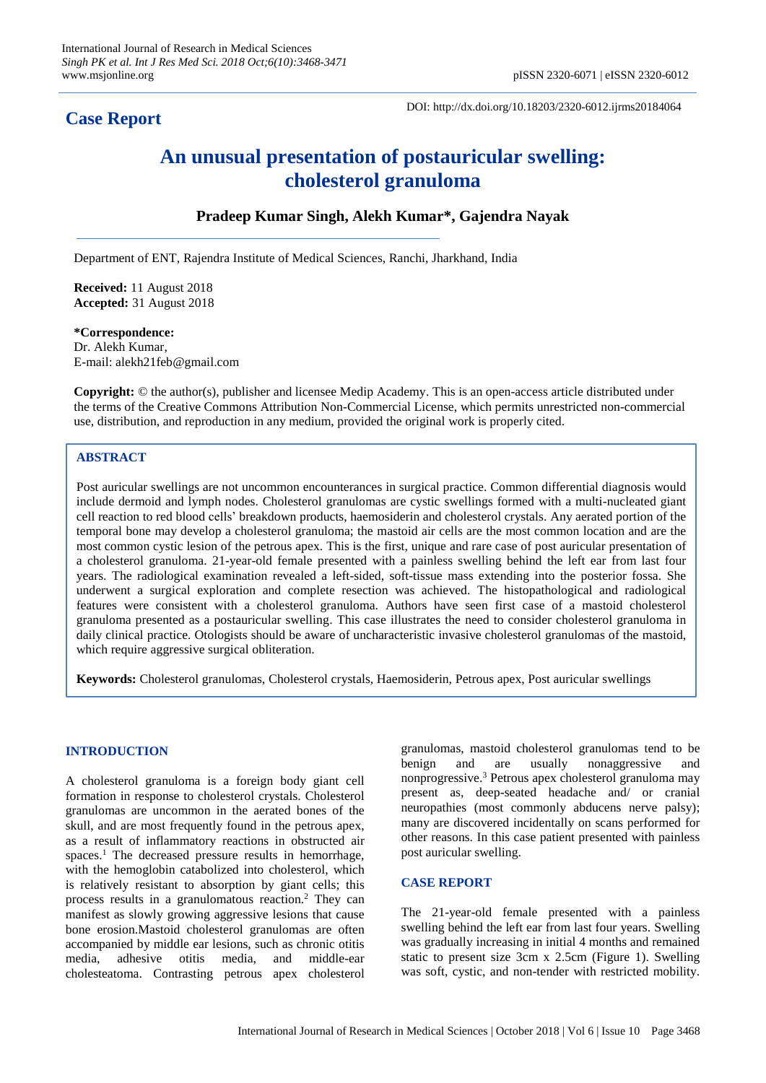# **Case Report**

DOI: http://dx.doi.org/10.18203/2320-6012.ijrms20184064

# **An unusual presentation of postauricular swelling: cholesterol granuloma**

# **Pradeep Kumar Singh, Alekh Kumar\*, Gajendra Nayak**

Department of ENT, Rajendra Institute of Medical Sciences, Ranchi, Jharkhand, India

**Received:** 11 August 2018 **Accepted:** 31 August 2018

## **\*Correspondence:**

Dr. Alekh Kumar, E-mail: alekh21feb@gmail.com

**Copyright:** © the author(s), publisher and licensee Medip Academy. This is an open-access article distributed under the terms of the Creative Commons Attribution Non-Commercial License, which permits unrestricted non-commercial use, distribution, and reproduction in any medium, provided the original work is properly cited.

# **ABSTRACT**

Post auricular swellings are not uncommon encounterances in surgical practice. Common differential diagnosis would include dermoid and lymph nodes. Cholesterol granulomas are cystic swellings formed with a multi-nucleated giant cell reaction to red blood cells' breakdown products, haemosiderin and cholesterol crystals. Any aerated portion of the temporal bone may develop a cholesterol granuloma; the mastoid air cells are the most common location and are the most common cystic lesion of the petrous apex. This is the first, unique and rare case of post auricular presentation of a cholesterol granuloma. 21-year-old female presented with a painless swelling behind the left ear from last four years. The radiological examination revealed a left-sided, soft-tissue mass extending into the posterior fossa. She underwent a surgical exploration and complete resection was achieved. The histopathological and radiological features were consistent with a cholesterol granuloma. Authors have seen first case of a mastoid cholesterol granuloma presented as a postauricular swelling. This case illustrates the need to consider cholesterol granuloma in daily clinical practice. Otologists should be aware of uncharacteristic invasive cholesterol granulomas of the mastoid, which require aggressive surgical obliteration.

**Keywords:** Cholesterol granulomas, Cholesterol crystals, Haemosiderin, Petrous apex, Post auricular swellings

#### **INTRODUCTION**

A cholesterol granuloma is a foreign body giant cell formation in response to cholesterol crystals. Cholesterol granulomas are uncommon in the aerated bones of the skull, and are most frequently found in the petrous apex, as a result of inflammatory reactions in obstructed air spaces. <sup>1</sup> The decreased pressure results in hemorrhage, with the hemoglobin catabolized into cholesterol, which is relatively resistant to absorption by giant cells; this process results in a granulomatous reaction. <sup>2</sup> They can manifest as slowly growing aggressive lesions that cause bone erosion.Mastoid cholesterol granulomas are often accompanied by middle ear lesions, such as chronic otitis media, adhesive otitis media, and middle-ear cholesteatoma. Contrasting petrous apex cholesterol granulomas, mastoid cholesterol granulomas tend to be benign and are usually nonaggressive and nonprogressive. <sup>3</sup> Petrous apex cholesterol granuloma may present as, deep-seated headache and/ or cranial neuropathies (most commonly abducens nerve palsy); many are discovered incidentally on scans performed for other reasons. In this case patient presented with painless post auricular swelling.

#### **CASE REPORT**

The 21-year-old female presented with a painless swelling behind the left ear from last four years. Swelling was gradually increasing in initial 4 months and remained static to present size 3cm x 2.5cm (Figure 1). Swelling was soft, cystic, and non-tender with restricted mobility.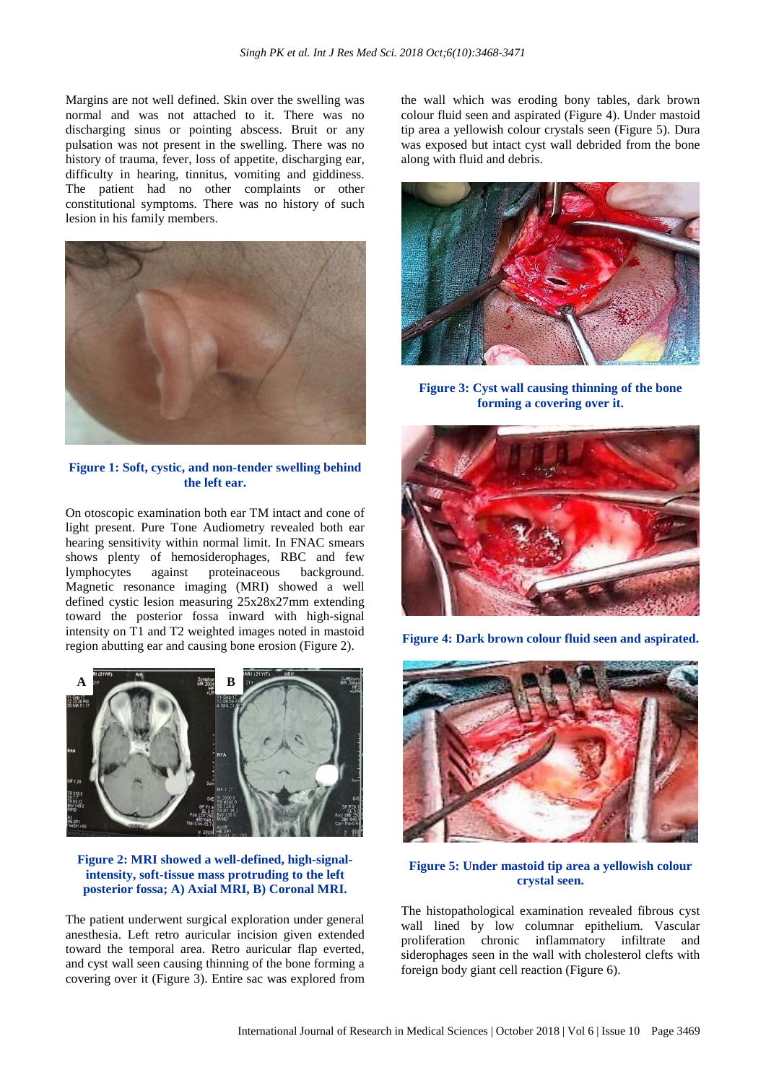Margins are not well defined. Skin over the swelling was normal and was not attached to it. There was no discharging sinus or pointing abscess. Bruit or any pulsation was not present in the swelling. There was no history of trauma, fever, loss of appetite, discharging ear, difficulty in hearing, tinnitus, vomiting and giddiness. The patient had no other complaints or other constitutional symptoms. There was no history of such lesion in his family members.



**Figure 1: Soft, cystic, and non-tender swelling behind the left ear.**

On otoscopic examination both ear TM intact and cone of light present. Pure Tone Audiometry revealed both ear hearing sensitivity within normal limit. In FNAC smears shows plenty of hemosiderophages, RBC and few lymphocytes against proteinaceous background. Magnetic resonance imaging (MRI) showed a well defined cystic lesion measuring 25x28x27mm extending toward the posterior fossa inward with high-signal intensity on T1 and T2 weighted images noted in mastoid region abutting ear and causing bone erosion (Figure 2).



**Figure 2: MRI showed a well-defined, high-signalintensity, soft-tissue mass protruding to the left posterior fossa; A) Axial MRI, B) Coronal MRI.**

The patient underwent surgical exploration under general anesthesia. Left retro auricular incision given extended toward the temporal area. Retro auricular flap everted, and cyst wall seen causing thinning of the bone forming a covering over it (Figure 3). Entire sac was explored from the wall which was eroding bony tables, dark brown colour fluid seen and aspirated (Figure 4). Under mastoid tip area a yellowish colour crystals seen (Figure 5). Dura was exposed but intact cyst wall debrided from the bone along with fluid and debris.



**Figure 3: Cyst wall causing thinning of the bone forming a covering over it.**



**Figure 4: Dark brown colour fluid seen and aspirated.**



### **Figure 5: Under mastoid tip area a yellowish colour crystal seen.**

The histopathological examination revealed fibrous cyst wall lined by low columnar epithelium. Vascular proliferation chronic inflammatory infiltrate and siderophages seen in the wall with cholesterol clefts with foreign body giant cell reaction (Figure 6).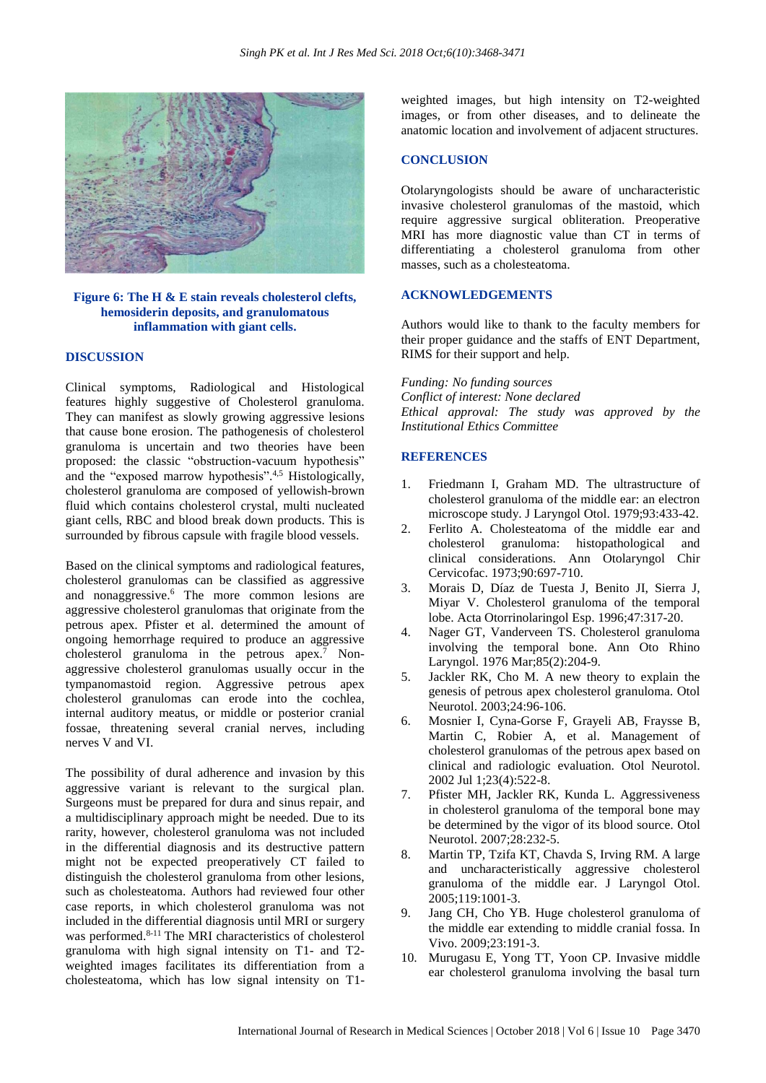

#### **Figure 6: The H & E stain reveals cholesterol clefts, hemosiderin deposits, and granulomatous inflammation with giant cells.**

#### **DISCUSSION**

Clinical symptoms, Radiological and Histological features highly suggestive of Cholesterol granuloma. They can manifest as slowly growing aggressive lesions that cause bone erosion. The pathogenesis of cholesterol granuloma is uncertain and two theories have been proposed: the classic "obstruction-vacuum hypothesis" and the "exposed marrow hypothesis".<sup>4,5</sup> Histologically, cholesterol granuloma are composed of yellowish-brown fluid which contains cholesterol crystal, multi nucleated giant cells, RBC and blood break down products. This is surrounded by fibrous capsule with fragile blood vessels.

Based on the clinical symptoms and radiological features, cholesterol granulomas can be classified as aggressive and nonaggressive. <sup>6</sup> The more common lesions are aggressive cholesterol granulomas that originate from the petrous apex. Pfister et al. determined the amount of ongoing hemorrhage required to produce an aggressive cholesterol granuloma in the petrous apex.<sup>7</sup> Nonaggressive cholesterol granulomas usually occur in the tympanomastoid region. Aggressive petrous apex cholesterol granulomas can erode into the cochlea, internal auditory meatus, or middle or posterior cranial fossae, threatening several cranial nerves, including nerves V and VI.

The possibility of dural adherence and invasion by this aggressive variant is relevant to the surgical plan. Surgeons must be prepared for dura and sinus repair, and a multidisciplinary approach might be needed. Due to its rarity, however, cholesterol granuloma was not included in the differential diagnosis and its destructive pattern might not be expected preoperatively CT failed to distinguish the cholesterol granuloma from other lesions, such as cholesteatoma. Authors had reviewed four other case reports, in which cholesterol granuloma was not included in the differential diagnosis until MRI or surgery was performed. 8-11 The MRI characteristics of cholesterol granuloma with high signal intensity on T1- and T2 weighted images facilitates its differentiation from a cholesteatoma, which has low signal intensity on T1weighted images, but high intensity on T2-weighted images, or from other diseases, and to delineate the anatomic location and involvement of adjacent structures.

#### **CONCLUSION**

Otolaryngologists should be aware of uncharacteristic invasive cholesterol granulomas of the mastoid, which require aggressive surgical obliteration. Preoperative MRI has more diagnostic value than CT in terms of differentiating a cholesterol granuloma from other masses, such as a cholesteatoma.

#### **ACKNOWLEDGEMENTS**

Authors would like to thank to the faculty members for their proper guidance and the staffs of ENT Department, RIMS for their support and help.

*Funding: No funding sources Conflict of interest: None declared Ethical approval: The study was approved by the Institutional Ethics Committee*

#### **REFERENCES**

- 1. Friedmann I, Graham MD. The ultrastructure of cholesterol granuloma of the middle ear: an electron microscope study. J Laryngol Otol. 1979;93:433-42.
- 2. Ferlito A. Cholesteatoma of the middle ear and cholesterol granuloma: histopathological and clinical considerations. Ann Otolaryngol Chir Cervicofac. 1973;90:697-710.
- 3. Morais D, Díaz de Tuesta J, Benito JI, Sierra J, Miyar V. Cholesterol granuloma of the temporal lobe. Acta Otorrinolaringol Esp. 1996;47:317-20.
- 4. Nager GT, Vanderveen TS. Cholesterol granuloma involving the temporal bone. Ann Oto Rhino Laryngol. 1976 Mar;85(2):204-9.
- 5. Jackler RK, Cho M. A new theory to explain the genesis of petrous apex cholesterol granuloma. Otol Neurotol. 2003;24:96-106.
- 6. Mosnier I, Cyna-Gorse F, Grayeli AB, Fraysse B, Martin C, Robier A, et al. Management of cholesterol granulomas of the petrous apex based on clinical and radiologic evaluation. Otol Neurotol. 2002 Jul 1;23(4):522-8.
- 7. Pfister MH, Jackler RK, Kunda L. Aggressiveness in cholesterol granuloma of the temporal bone may be determined by the vigor of its blood source. Otol Neurotol. 2007;28:232-5.
- 8. Martin TP, Tzifa KT, Chavda S, Irving RM. A large and uncharacteristically aggressive cholesterol granuloma of the middle ear. J Laryngol Otol. 2005;119:1001-3.
- 9. Jang CH, Cho YB. Huge cholesterol granuloma of the middle ear extending to middle cranial fossa. In Vivo. 2009;23:191-3.
- 10. Murugasu E, Yong TT, Yoon CP. Invasive middle ear cholesterol granuloma involving the basal turn